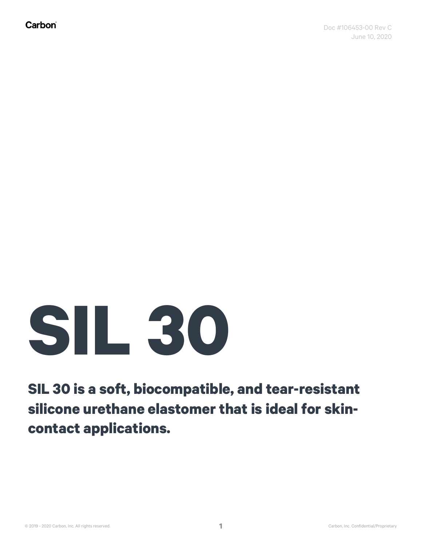## **SIL 30**

**SIL 30 is a soft, biocompatible, and tear-resistant silicone urethane elastomer that is ideal for skincontact applications.**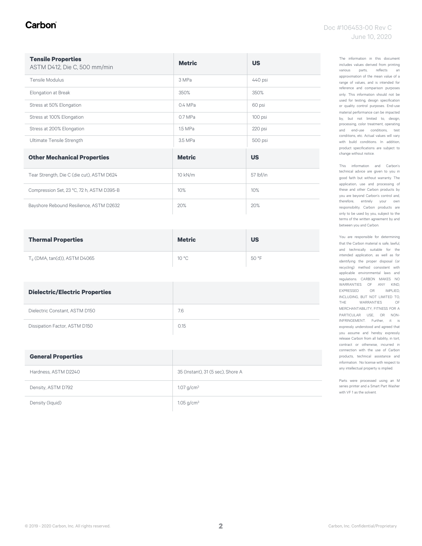#### Carbon

| <b>Tensile Properties</b><br>ASTM D412, Die C, 500 mm/min | <b>Metric</b> | <b>US</b> |
|-----------------------------------------------------------|---------------|-----------|
| Tensile Modulus                                           | 3 MPa         | 440 psi   |
| Elongation at Break                                       | 350%          | 350%      |
| Stress at 50% Elongation                                  | $0.4$ MPa     | 60 psi    |
| Stress at 100% Elongation                                 | 0.7 MPa       | 100 psi   |
| Stress at 200% Elongation                                 | 1.5 MPa       | 220 psi   |
| Ultimate Tensile Strength                                 | 3.5 MPa       | 500 psi   |
| <b>Other Mechanical Properties</b>                        | <b>Metric</b> | <b>US</b> |
| Tear Strength, Die C (die cut), ASTM D624                 | 10 kN/m       | 57 lbf/in |
| Compression Set, 23 °C, 72 h, ASTM D395-B                 | 10%           | 10%       |
| Bayshore Rebound Resilience, ASTM D2632                   | 20%           | 20%       |

| <b>Thermal Properties</b>      | <b>Metric</b> | <b>US</b> |
|--------------------------------|---------------|-----------|
| $Ta$ (DMA, tan(d)), ASTM D4065 | 10 °C         | 50 °F     |

| <b>Dielectric/Electric Properties</b> |      |
|---------------------------------------|------|
| Dielectric Constant, ASTM D150        | 7.6  |
| Dissipation Factor, ASTM D150         | 0.15 |

| <b>General Properties</b> |                                   |
|---------------------------|-----------------------------------|
| Hardness, ASTM D2240      | 35 (Instant), 31 (5 sec), Shore A |
| Density, ASTM D792        | $1.07$ g/cm <sup>3</sup>          |
| Density (liquid)          | $1.05$ g/cm <sup>3</sup>          |

This information and Carbon's technical advice are given to you in good faith but without warranty. The application, use and processing of these and other Carbon products by you are beyond Carbon's control and, therefore, entirely your own responsibility. Carbon products are only to be used by you, subject to the terms of the written agreement by and between you and Carbon.

You are responsible for determining that the Carbon material is safe, lawful, and technically suitable for the intended application, as well as for identifying the proper disposal (or recycling) method consistent with applicable environmental laws and regulations. CARBON MAKES NO WARRANTIES OF ANY KIND, EXPRESSED OR IMPLIED, INCLUDING, BUT NOT LIMITED TO, THE WARRANTIES OF MERCHANTABILITY, FITNESS FOR A PARTICULAR USE, OR NON-INFRINGEMENT. Further, it is expressly understood and agreed that you assume and hereby expressly release Carbon from all liability, in tort, contract or otherwise, incurred in connection with the use of Carbon products, technical assistance and information. No license with respect to any intellectual property is implied.

Parts were processed using an M series printer and a Smart Part Washer with VF 1 as the solvent.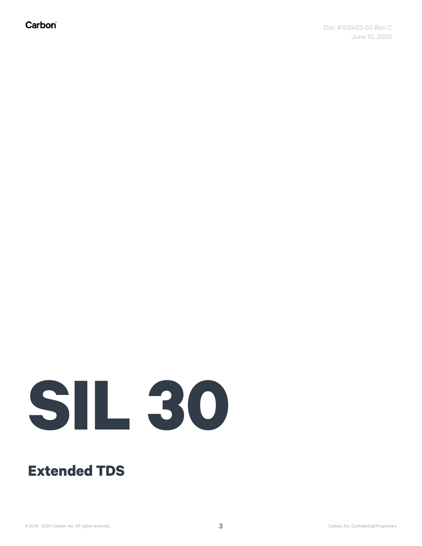Carbon®

# **SIL 30**

#### **Extended TDS**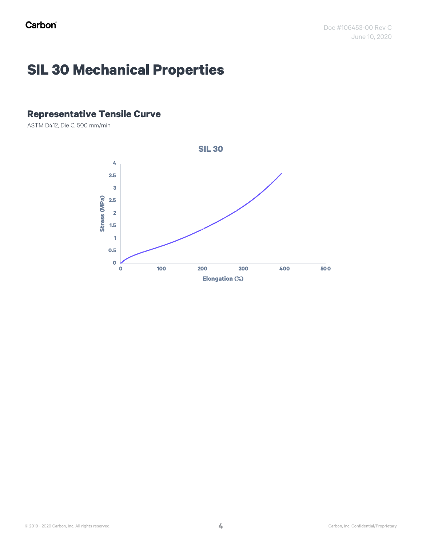## **SIL 30 Mechanical Properties**

#### **Representative Tensile Curve**

ASTM D412, Die C, 500 mm/min

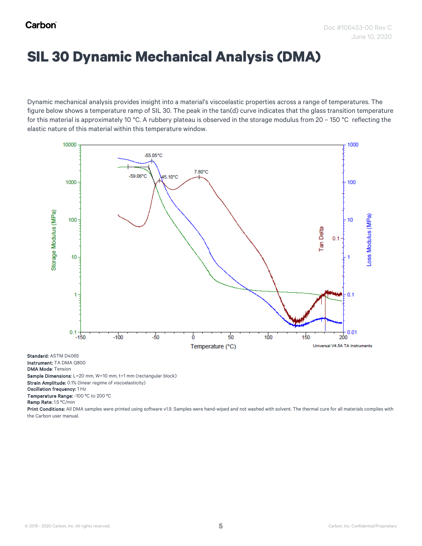#### **SIL 30 Dynamic Mechanical Analysis (DMA)**

Dynamic mechanical analysis provides insight into a material's viscoelastic properties across a range of temperatures. The figure below shows a temperature ramp of SIL 30. The peak in the tan(d) curve indicates that the glass transition temperature for this material is approximately 10 °C. A rubbery plateau is observed in the storage modulus from 20 – 150 °C reflecting the elastic nature of this material within this temperature window.



Temperature Range: -100 °C to 200 °C

Ramp Rate: 1.5 ºC/min

Print Conditions: All DMA samples were printed using software v1.9. Samples were hand-wiped and not washed with solvent. The thermal cure for all materials complies with the Carbon user manual.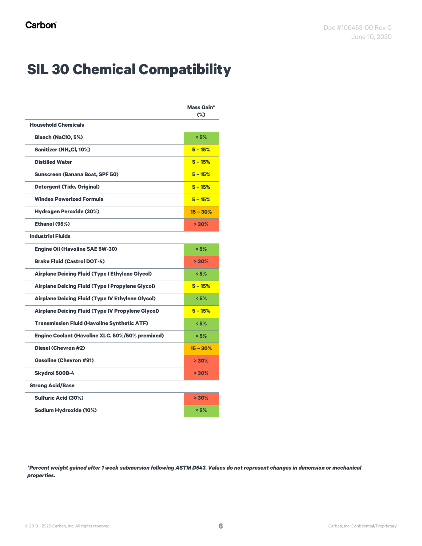## **SIL 30 Chemical Compatibility**

|                                                          | <b>Mass Gain*</b><br>$(\%)$ |
|----------------------------------------------------------|-----------------------------|
| <b>Household Chemicals</b>                               |                             |
| <b>Bleach (NaClO, 5%)</b>                                | < 5%                        |
| Sanitizer (NH, Cl, 10%)                                  | $5 - 15%$                   |
| <b>Distilled Water</b>                                   | $5 - 15%$                   |
| <b>Sunscreen (Banana Boat, SPF 50)</b>                   | $5 - 15%$                   |
| <b>Detergent (Tide, Original)</b>                        | $5 - 15%$                   |
| <b>Windex Powerized Formula</b>                          | $5 - 15%$                   |
| <b>Hydrogen Peroxide (30%)</b>                           | $15 - 30%$                  |
| Ethanol (95%)                                            | > 30%                       |
| <b>Industrial Fluids</b>                                 |                             |
| <b>Engine Oil (Havoline SAE 5W-30)</b>                   | < 5%                        |
| <b>Brake Fluid (Castrol DOT-4)</b>                       | >30%                        |
| <b>Airplane Deicing Fluid (Type I Ethylene Glycol)</b>   | < 5%                        |
| <b>Airplane Deicing Fluid (Type I Propylene Glycol)</b>  | $5 - 15%$                   |
| <b>Airplane Deicing Fluid (Type IV Ethylene Glycol)</b>  | < 5%                        |
| <b>Airplane Deicing Fluid (Type IV Propylene Glycol)</b> | $5 - 15%$                   |
| <b>Transmission Fluid (Havoline Synthetic ATF)</b>       | < 5%                        |
| <b>Engine Coolant (Havoline XLC, 50%/50% premixed)</b>   | < 5%                        |
| Diesel (Chevron #2)                                      | $15 - 30%$                  |
| <b>Gasoline (Chevron #91)</b>                            | $> 30\%$                    |
| <b>Skydrol 500B-4</b>                                    | $> 30\%$                    |
| <b>Strong Acid/Base</b>                                  |                             |
| <b>Sulfuric Acid (30%)</b>                               | $> 30\%$                    |
| <b>Sodium Hydroxide (10%)</b>                            | < 5%                        |

*\*Percent weight gained after 1 week submersion following ASTM D543. Values do not represent changes in dimension or mechanical properties.*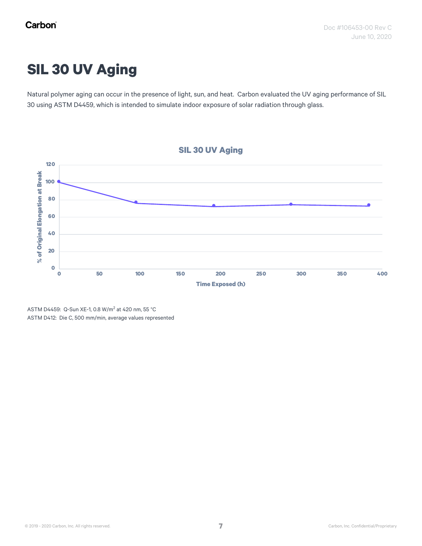## **SIL 30 UV Aging**

Natural polymer aging can occur in the presence of light, sun, and heat. Carbon evaluated the UV aging performance of SIL 30 using ASTM D4459, which is intended to simulate indoor exposure of solar radiation through glass.



ASTM D4459: Q-Sun XE-1, 0.8 W/m<sup>2</sup> at 420 nm, 55 °C ASTM D412: Die C, 500 mm/min, average values represented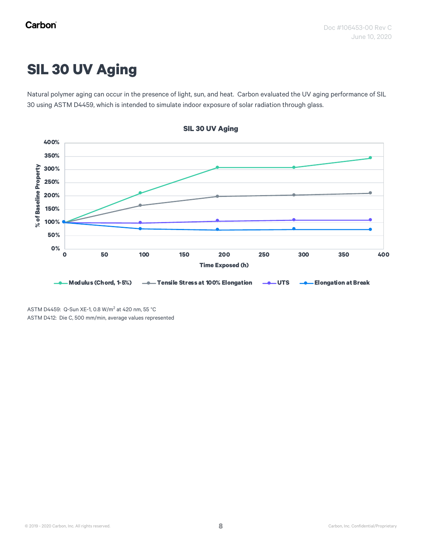## **SIL 30 UV Aging**

Natural polymer aging can occur in the presence of light, sun, and heat. Carbon evaluated the UV aging performance of SIL 30 using ASTM D4459, which is intended to simulate indoor exposure of solar radiation through glass.



ASTM D4459: Q-Sun XE-1, 0.8 W/m<sup>2</sup> at 420 nm, 55 °C ASTM D412: Die C, 500 mm/min, average values represented

**SIL 30 UV Aging**